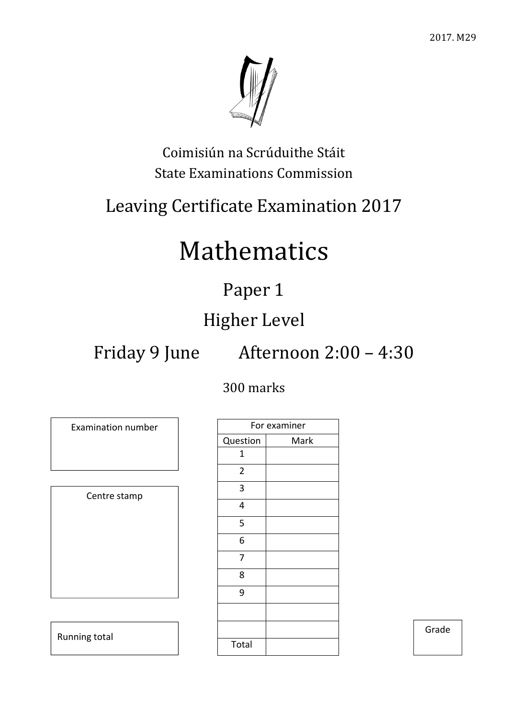

Coimisiún na Scrúduithe Stáit State Examinations Commission

## Leaving Certificate Examination 2017

# Mathematics

## Paper 1

## Higher Level

Friday 9 June Afternoon 2:00 – 4:30

### 300 marks

Examination number Centre stamp Running total

|                | For examiner |
|----------------|--------------|
| Question       | Mark         |
| 1              |              |
| $\overline{2}$ |              |
| 3              |              |
| 4              |              |
| 5              |              |
| 6              |              |
| 7              |              |
| 8              |              |
| 9              |              |
|                |              |
|                |              |
| Total          |              |

Grade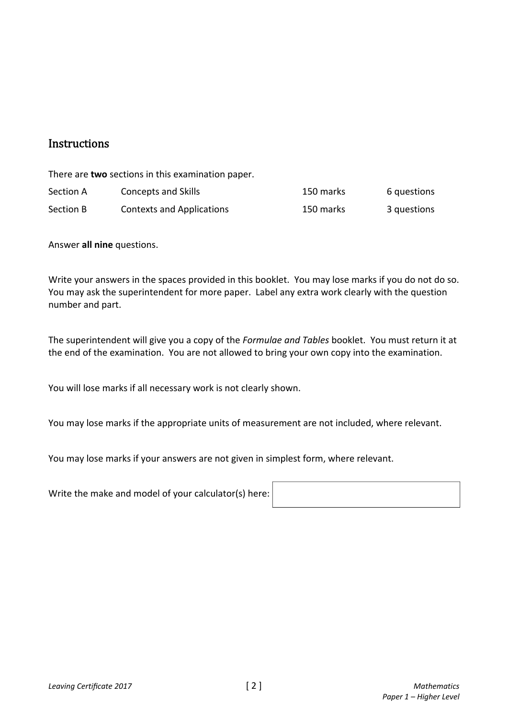### **Instructions**

There are **two** sections in this examination paper.

| Section A | Concepts and Skills              | 150 marks | 6 questions |
|-----------|----------------------------------|-----------|-------------|
| Section B | <b>Contexts and Applications</b> | 150 marks | 3 questions |

Answer **all nine** questions.

Write your answers in the spaces provided in this booklet. You may lose marks if you do not do so. You may ask the superintendent for more paper. Label any extra work clearly with the question number and part.

The superintendent will give you a copy of the *Formulae and Tables* booklet. You must return it at the end of the examination. You are not allowed to bring your own copy into the examination.

You will lose marks if all necessary work is not clearly shown.

You may lose marks if the appropriate units of measurement are not included, where relevant.

You may lose marks if your answers are not given in simplest form, where relevant.

Write the make and model of your calculator(s) here: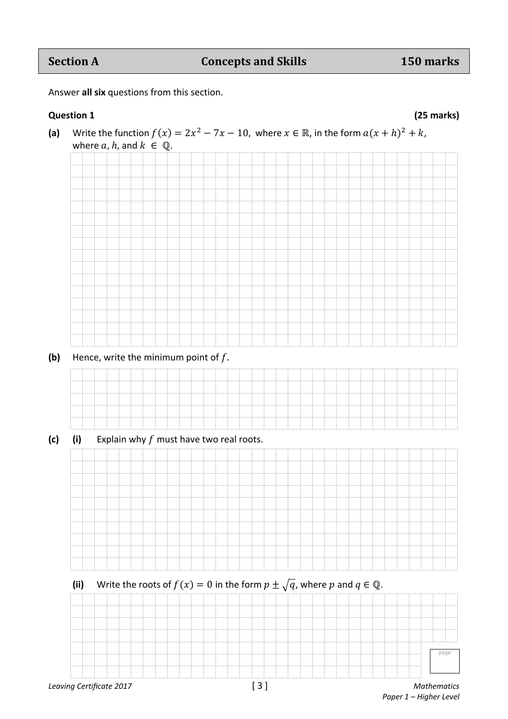### **Section A Concepts and Skills** 150 marks

Answer **all six** questions from this section.

### **Question 1 (25 marks)**



page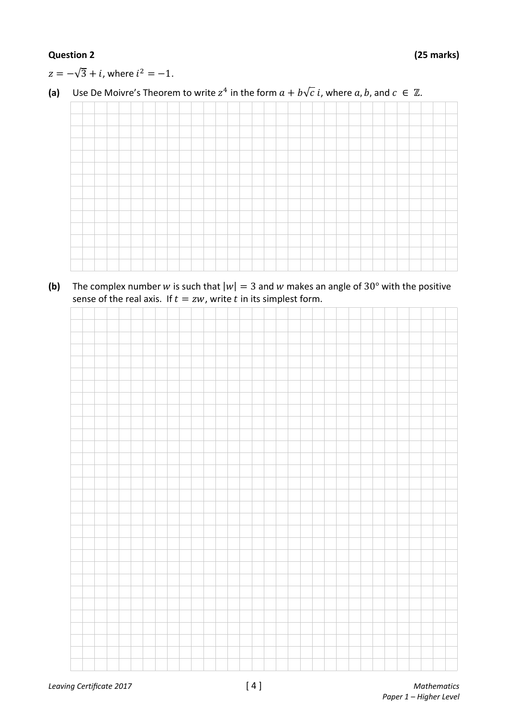### **Question 2 (25 marks)**

 $z = -\sqrt{3} + i$ , where  $i^2 = -1$ .

### **(a)** Use De Moivre's Theorem to write  $z^4$  in the form  $a + b\sqrt{c} i$ , where  $a, b$ , and  $c \in \mathbb{Z}$ .

**(b)** The complex number w is such that  $|w| = 3$  and w makes an angle of 30° with the positive sense of the real axis. If  $t = zw$ , write t in its simplest form.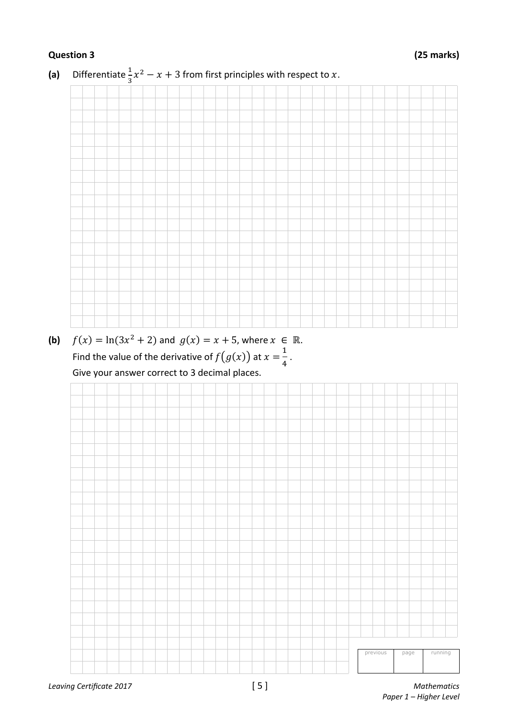

**(a)** Differentiate  $\frac{1}{3}x^2 - x + 3$  from first principles with respect to x.

**(b)**  $f(x) = \ln(3x^2 + 2)$  and  $g(x) = x + 5$ , where  $x \in \mathbb{R}$ . Find the value of the derivative of  $f(g(x))$  at  $x=\frac{1}{4}$  $\frac{1}{4}$  . Give your answer correct to 3 decimal places.

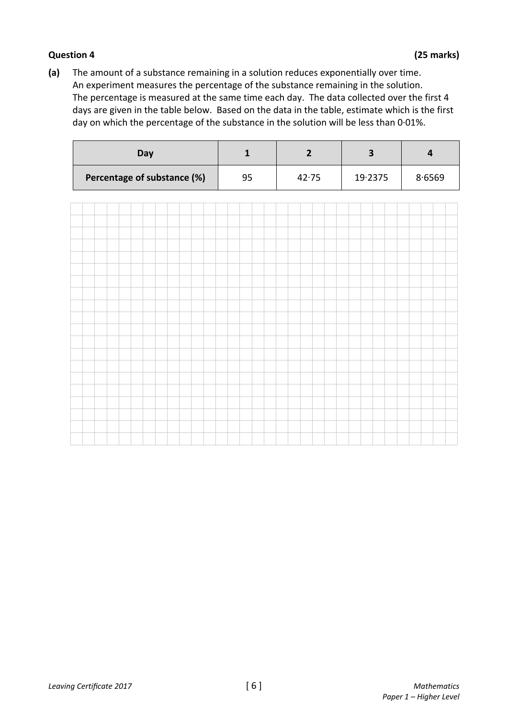### **Question 4 (25 marks)**

**(a)** The amount of a substance remaining in a solution reduces exponentially over time. An experiment measures the percentage of the substance remaining in the solution. The percentage is measured at the same time each day. The data collected over the first 4 days are given in the table below. Based on the data in the table, estimate which is the first day on which the percentage of the substance in the solution will be less than 0·01%.

| Day                         |    |       |         |        |
|-----------------------------|----|-------|---------|--------|
| Percentage of substance (%) | 95 | 42.75 | 19.2375 | 8.6569 |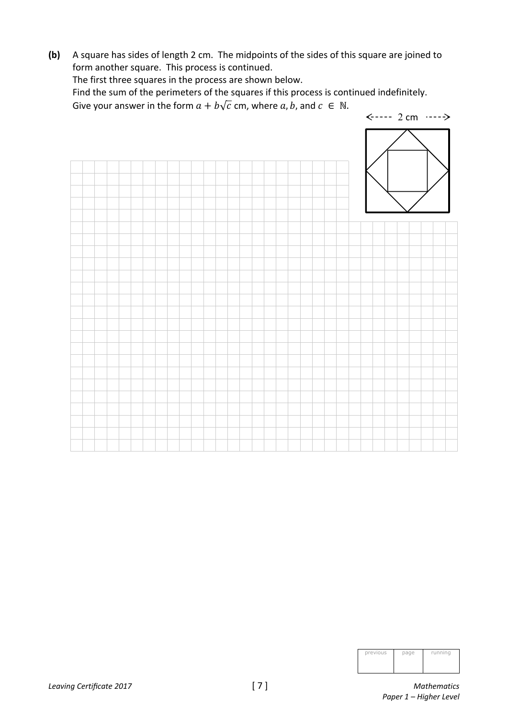**(b)** A square has sides of length 2 cm. The midpoints of the sides of this square are joined to form another square. This process is continued.

The first three squares in the process are shown below.

 Find the sum of the perimeters of the squares if this process is continued indefinitely. Give your answer in the form  $a + b\sqrt{c}$  cm, where  $a, b$ , and  $c \in \mathbb{N}$ .



| previous | page | running |
|----------|------|---------|
|          |      |         |
|          |      |         |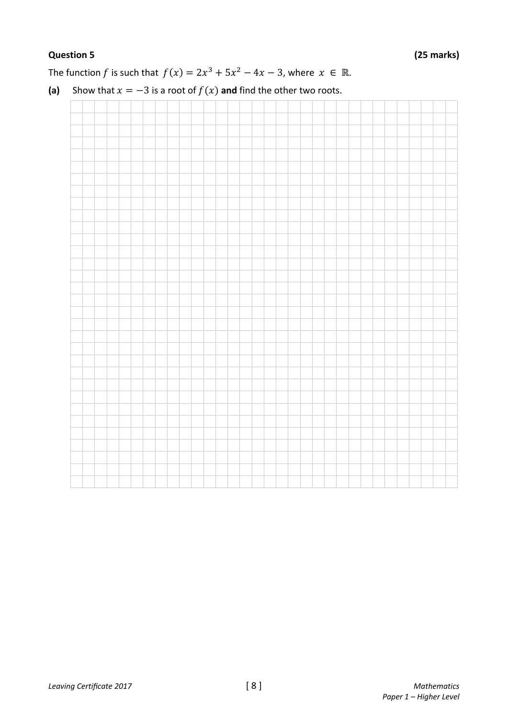The function *f* is such that  $f(x) = 2x^3 + 5x^2 - 4x - 3$ , where  $x \in \mathbb{R}$ .



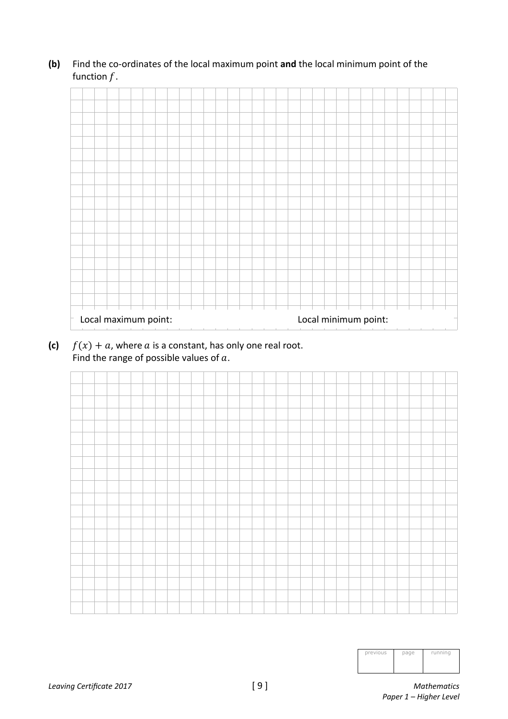

### **(b)** Find the co-ordinates of the local maximum point **and** the local minimum point of the function  $f$ .

**(c)**  $f(x) + a$ , where  $a$  is a constant, has only one real root. Find the range of possible values of  $a$ .



| previous | page | running |
|----------|------|---------|
|          |      |         |
|          |      |         |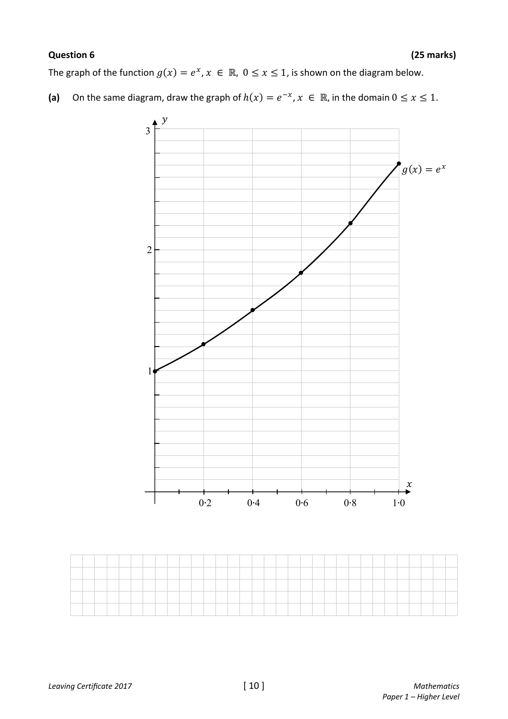### **Question 6 (25 marks)**

The graph of the function  $g(x) = e^x$ ,  $x \in \mathbb{R}$ ,  $0 \le x \le 1$ , is shown on the diagram below.

**(a)** On the same diagram, draw the graph of  $h(x) = e^{-x}$ ,  $x \in \mathbb{R}$ , in the domain  $0 \le x \le 1$ .

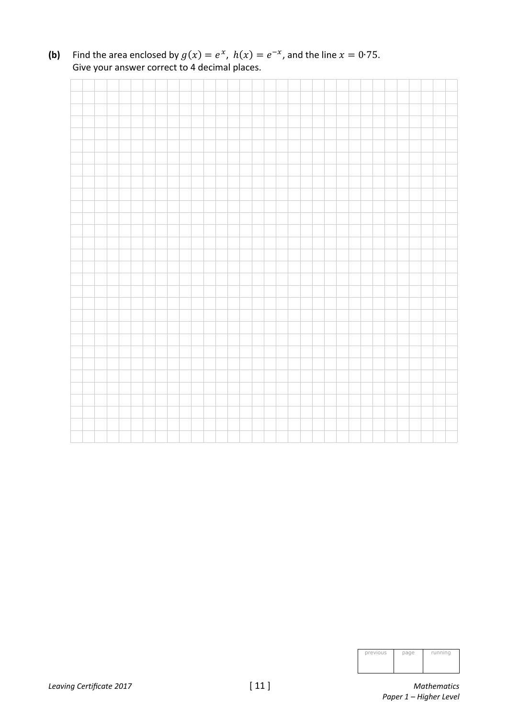**(b)** Find the area enclosed by  $g(x) = e^x$ ,  $h(x) = e^{-x}$ , and the line  $x = 0.75$ . Give your answer correct to 4 decimal places.

| previous | page | running |
|----------|------|---------|
|          |      |         |
|          |      |         |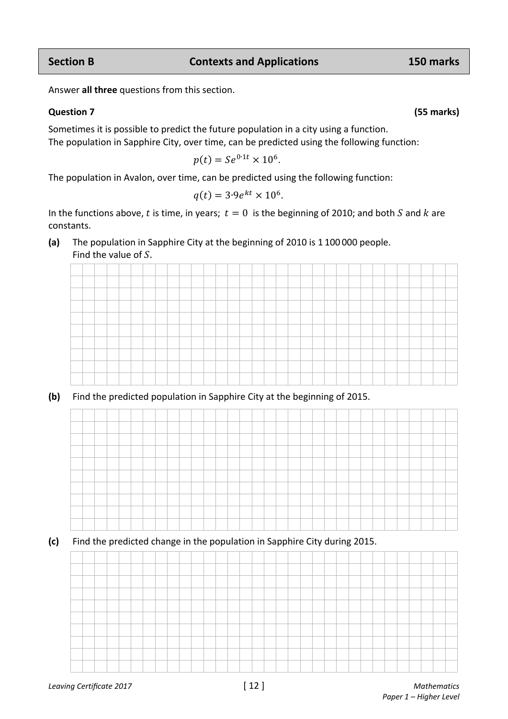*Leaving Certificate 2017* [ 12 ] *Mathematics* 

### Answer **all three** questions from this section.

### **Question 7 (55 marks)**

Sometimes it is possible to predict the future population in a city using a function. The population in Sapphire City, over time, can be predicted using the following function:

$$
p(t) = Se^{0.1t} \times 10^6.
$$

The population in Avalon, over time, can be predicted using the following function:

$$
q(t) = 3.9e^{kt} \times 10^6.
$$

In the functions above, t is time, in years;  $t = 0$  is the beginning of 2010; and both S and k are constants.

**(a)** The population in Sapphire City at the beginning of 2010 is 1 100 000 people. Find the value of  $S$ .



**(b)** Find the predicted population in Sapphire City at the beginning of 2015.



**(c)** Find the predicted change in the population in Sapphire City during 2015.

**Section B Contexts and Applications 150 marks**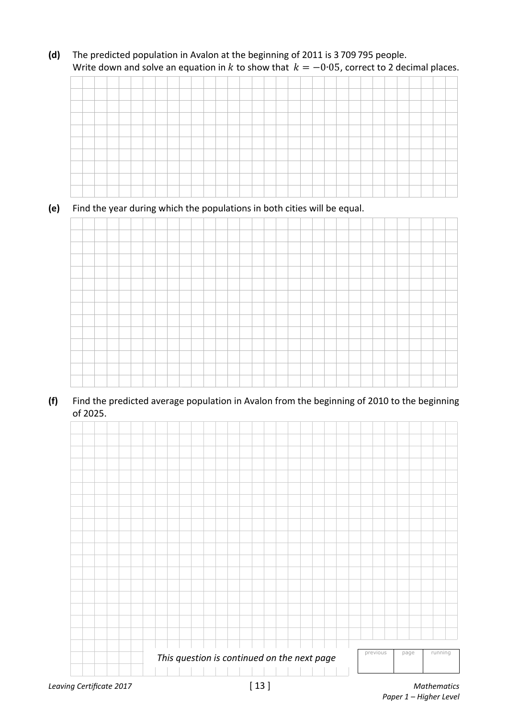**(d)** The predicted population in Avalon at the beginning of 2011 is 3 709 795 people. Write down and solve an equation in k to show that  $k = -0.05$ , correct to 2 decimal places.

### **(e)** Find the year during which the populations in both cities will be equal.



**(f)** Find the predicted average population in Avalon from the beginning of 2010 to the beginning of 2025.



 *Paper 1 – Higher Level*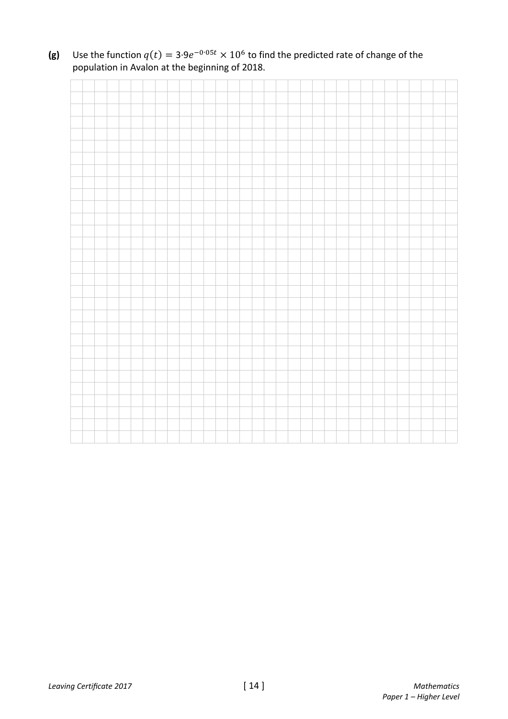**(g)** Use the function  $q(t) = 3.9e^{-0.05t} \times 10^6$  to find the predicted rate of change of the population in Avalon at the beginning of 2018.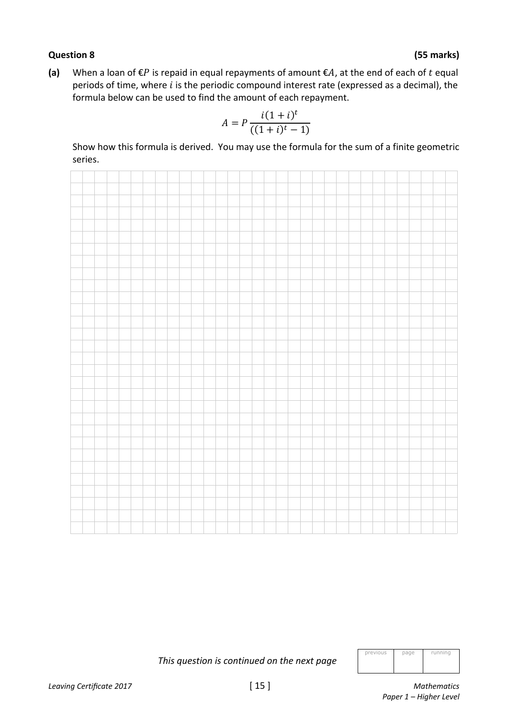### **Question 8 (55 marks)**

**(a)** When a loan of  $\epsilon P$  is repaid in equal repayments of amount  $\epsilon A$ , at the end of each of t equal periods of time, where  $i$  is the periodic compound interest rate (expressed as a decimal), the formula below can be used to find the amount of each repayment.

$$
A = P \frac{i(1+i)^t}{((1+i)^t - 1)}
$$

 Show how this formula is derived. You may use the formula for the sum of a finite geometric series.



|  |  |  |  |  |  | This question is continued on the next page |
|--|--|--|--|--|--|---------------------------------------------|
|--|--|--|--|--|--|---------------------------------------------|

| previous | page | running |
|----------|------|---------|
|          |      |         |
|          |      |         |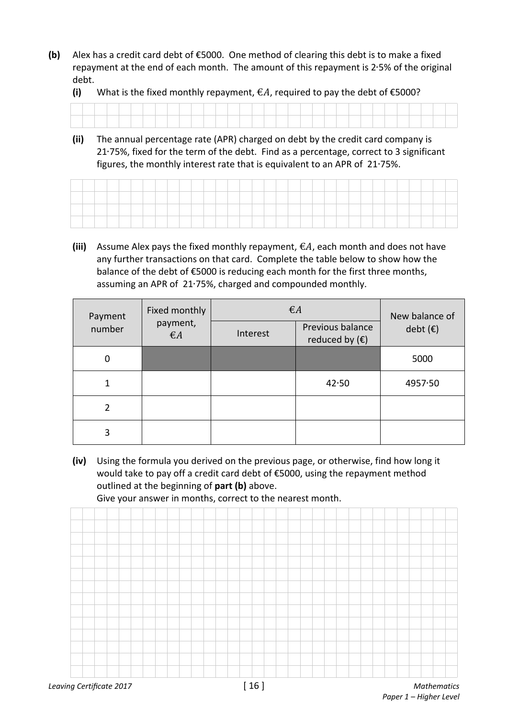**(b)** Alex has a credit card debt of €5000. One method of clearing this debt is to make a fixed repayment at the end of each month. The amount of this repayment is 2∙5% of the original debt.

**(i)** What is the fixed monthly repayment,  $\epsilon A$ , required to pay the debt of  $\epsilon$ 5000?

|  |  |  |  |  |  |  |  |  |  |  |  |  |  | the contract of the contract of the |  |  |
|--|--|--|--|--|--|--|--|--|--|--|--|--|--|-------------------------------------|--|--|
|  |  |  |  |  |  |  |  |  |  |  |  |  |  |                                     |  |  |

**(ii)** The annual percentage rate (APR) charged on debt by the credit card company is 21∙75%, fixed for the term of the debt. Find as a percentage, correct to 3 significant figures, the monthly interest rate that is equivalent to an APR of 21∙75%.

**(iii)** Assume Alex pays the fixed monthly repayment,  $\epsilon A$ , each month and does not have any further transactions on that card. Complete the table below to show how the balance of the debt of €5000 is reducing each month for the first three months, assuming an APR of 21∙75%, charged and compounded monthly.

| Payment        | Fixed monthly            | $\epsilon A$ | New balance of                              |                   |
|----------------|--------------------------|--------------|---------------------------------------------|-------------------|
| number         | payment,<br>$\epsilon A$ | Interest     | Previous balance<br>reduced by $(\epsilon)$ | debt $(\epsilon)$ |
| $\mathbf 0$    |                          |              |                                             | 5000              |
| 1              |                          |              | 42.50                                       | 4957.50           |
| $\overline{2}$ |                          |              |                                             |                   |
| 3              |                          |              |                                             |                   |

**(iv)** Using the formula you derived on the previous page, or otherwise, find how long it would take to pay off a credit card debt of €5000, using the repayment method outlined at the beginning of **part (b)** above.

Give your answer in months, correct to the nearest month.

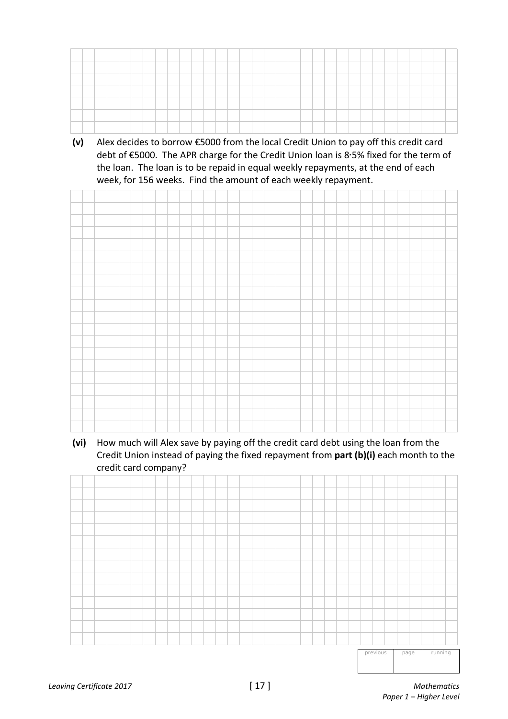

**(v)** Alex decides to borrow €5000 from the local Credit Union to pay off this credit card debt of €5000. The APR charge for the Credit Union loan is 8∙5% fixed for the term of the loan. The loan is to be repaid in equal weekly repayments, at the end of each week, for 156 weeks. Find the amount of each weekly repayment.



**(vi)** How much will Alex save by paying off the credit card debt using the loan from the Credit Union instead of paying the fixed repayment from **part (b)(i)** each month to the credit card company?



previous page running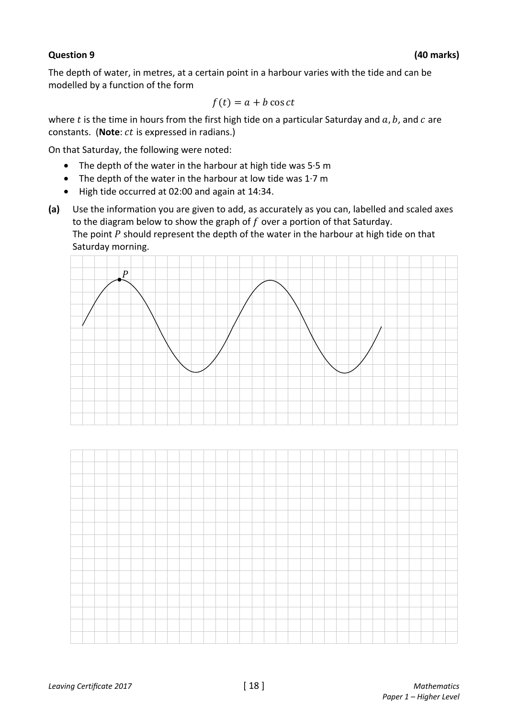### **Question 9 (40 marks)**

The depth of water, in metres, at a certain point in a harbour varies with the tide and can be modelled by a function of the form

$$
f(t) = a + b \cos ct
$$

where  $t$  is the time in hours from the first high tide on a particular Saturday and  $a, b$ , and  $c$  are constants. (Note: *ct* is expressed in radians.)

On that Saturday, the following were noted:

- The depth of the water in the harbour at high tide was 5·5 m
- The depth of the water in the harbour at low tide was  $1.7 \text{ m}$
- High tide occurred at 02:00 and again at 14:34.
- **(a)** Use the information you are given to add, as accurately as you can, labelled and scaled axes to the diagram below to show the graph of  $f$  over a portion of that Saturday. The point  $P$  should represent the depth of the water in the harbour at high tide on that Saturday morning.



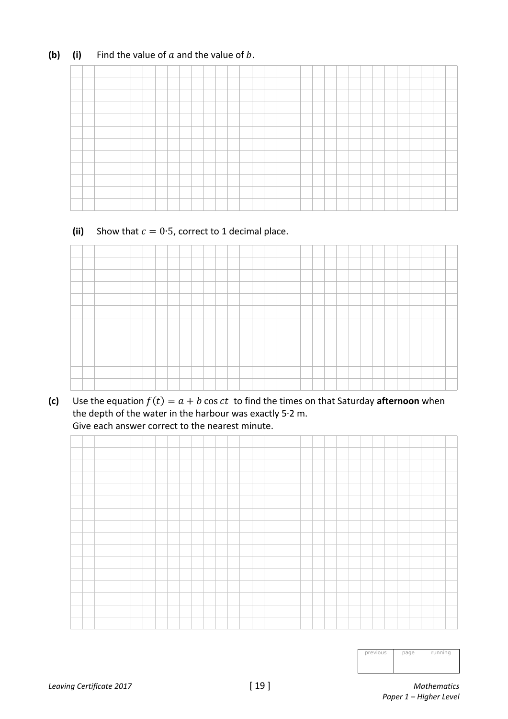### **(b)** (i) Find the value of  $a$  and the value of  $b$ .

### (ii) Show that  $c = 0.5$ , correct to 1 decimal place.



**(c)** Use the equation  $f(t) = a + b \cos ct$  to find the times on that Saturday **afternoon** when the depth of the water in the harbour was exactly 5·2 m. Give each answer correct to the nearest minute.



| previous | page | running |
|----------|------|---------|
|          |      |         |
|          |      |         |